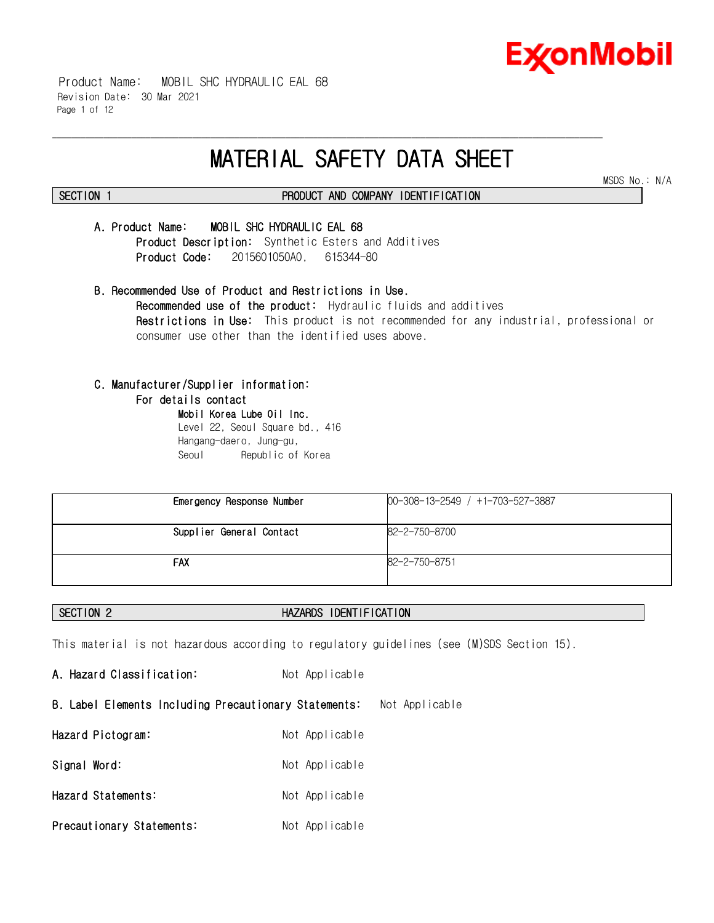

 Product Name: MOBIL SHC HYDRAULIC EAL 68 Revision Date: 30 Mar 2021 Page 1 of 12

# **MATERIAL SAFETY DATA SHEET**

\_\_\_\_\_\_\_\_\_\_\_\_\_\_\_\_\_\_\_\_\_\_\_\_\_\_\_\_\_\_\_\_\_\_\_\_\_\_\_\_\_\_\_\_\_\_\_\_\_\_\_\_\_\_\_\_\_\_\_\_\_\_\_\_\_\_\_\_\_\_\_\_\_\_\_\_\_\_\_\_\_\_\_\_\_\_\_\_\_\_\_\_\_\_\_\_\_\_\_\_\_\_\_\_\_\_\_\_\_\_\_\_\_\_\_\_\_\_

MSDS No.: N/A

# **SECTION 1 PRODUCT AND COMPANY IDENTIFICATION**

# **A. Product Name: MOBIL SHC HYDRAULIC EAL 68**

**Product Description:** Synthetic Esters and Additives **Product Code:** 2015601050A0, 615344-80

**B. Recommended Use of Product and Restrictions in Use. Recommended use of the product:** Hydraulic fluids and additives **Restrictions in Use:** This product is not recommended for any industrial, professional or consumer use other than the identified uses above.

# **C. Manufacturer/Supplier information:**

### **For details contact**

**Mobil Korea Lube Oil Inc.** Level 22, Seoul Square bd., 416 Hangang-daero, Jung-gu, Seoul Republic of Korea

| Emergency Response Number | $00-308-13-2549$ / $+1-703-527-3887$ |
|---------------------------|--------------------------------------|
| Supplier General Contact  | 82-2-750-8700                        |
| <b>FAX</b>                | 82-2-750-8751                        |

# **SECTION 2 HAZARDS IDENTIFICATION**

This material is not hazardous according to regulatory guidelines (see (M)SDS Section 15).

A. Hazard Classification: Not Applicable **B. Label Elements Including Precautionary Statements:** Not Applicable **Hazard Pictogram:** Not Applicable Signal Word: Not Applicable **Hazard Statements:** Not Applicable **Precautionary Statements:** Not Applicable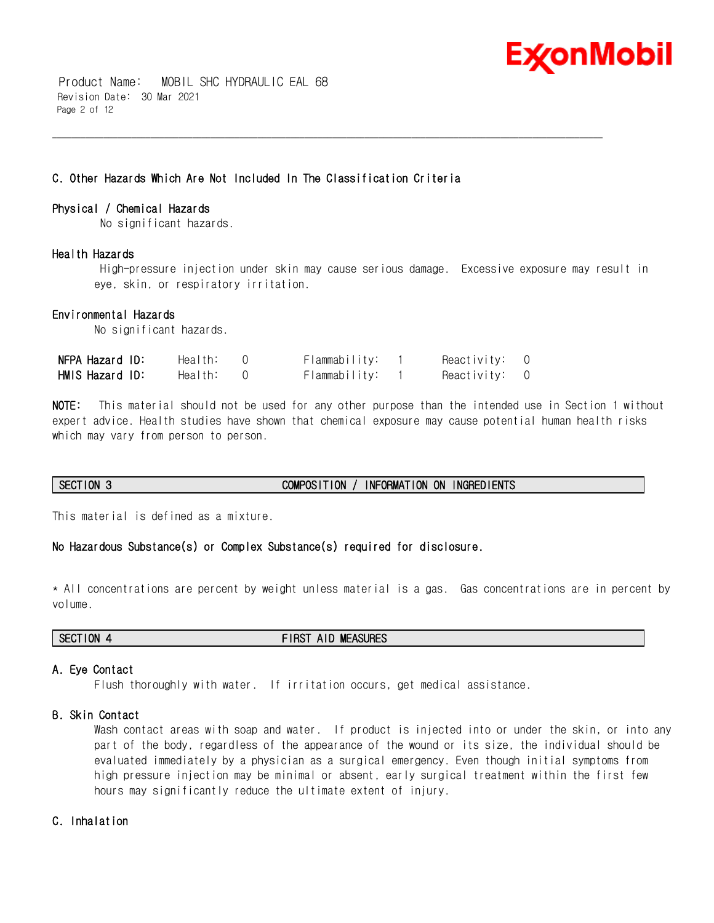

 Product Name: MOBIL SHC HYDRAULIC EAL 68 Revision Date: 30 Mar 2021 Page 2 of 12

# **C. Other Hazards Which Are Not Included In The Classification Criteria**

### **Physical / Chemical Hazards**

No significant hazards.

### **Health Hazards**

 High-pressure injection under skin may cause serious damage. Excessive exposure may result in eye, skin, or respiratory irritation.

\_\_\_\_\_\_\_\_\_\_\_\_\_\_\_\_\_\_\_\_\_\_\_\_\_\_\_\_\_\_\_\_\_\_\_\_\_\_\_\_\_\_\_\_\_\_\_\_\_\_\_\_\_\_\_\_\_\_\_\_\_\_\_\_\_\_\_\_\_\_\_\_\_\_\_\_\_\_\_\_\_\_\_\_\_\_\_\_\_\_\_\_\_\_\_\_\_\_\_\_\_\_\_\_\_\_\_\_\_\_\_\_\_\_\_\_\_\_

### **Environmental Hazards**

No significant hazards.

| NFPA Hazard ID: | Health: | Flammability: | Reactivity: 0 |  |
|-----------------|---------|---------------|---------------|--|
| HMIS Hazard ID: | Health: | Flammability: | Reactivity: 0 |  |

**NOTE:** This material should not be used for any other purpose than the intended use in Section 1 without expert advice. Health studies have shown that chemical exposure may cause potential human health risks which may vary from person to person.

# **SECTION 3 COMPOSITION / INFORMATION ON INGREDIENTS**

This material is defined as a mixture.

# **No Hazardous Substance(s) or Complex Substance(s) required for disclosure.**

\* All concentrations are percent by weight unless material is a gas. Gas concentrations are in percent by volume.

**SECTION 4 FIRST AID MEASURES**

### **A. Eye Contact**

Flush thoroughly with water. If irritation occurs, get medical assistance.

### **B. Skin Contact**

Wash contact areas with soap and water. If product is injected into or under the skin, or into any part of the body, regardless of the appearance of the wound or its size, the individual should be evaluated immediately by a physician as a surgical emergency. Even though initial symptoms from high pressure injection may be minimal or absent, early surgical treatment within the first few hours may significantly reduce the ultimate extent of injury.

# **C. Inhalation**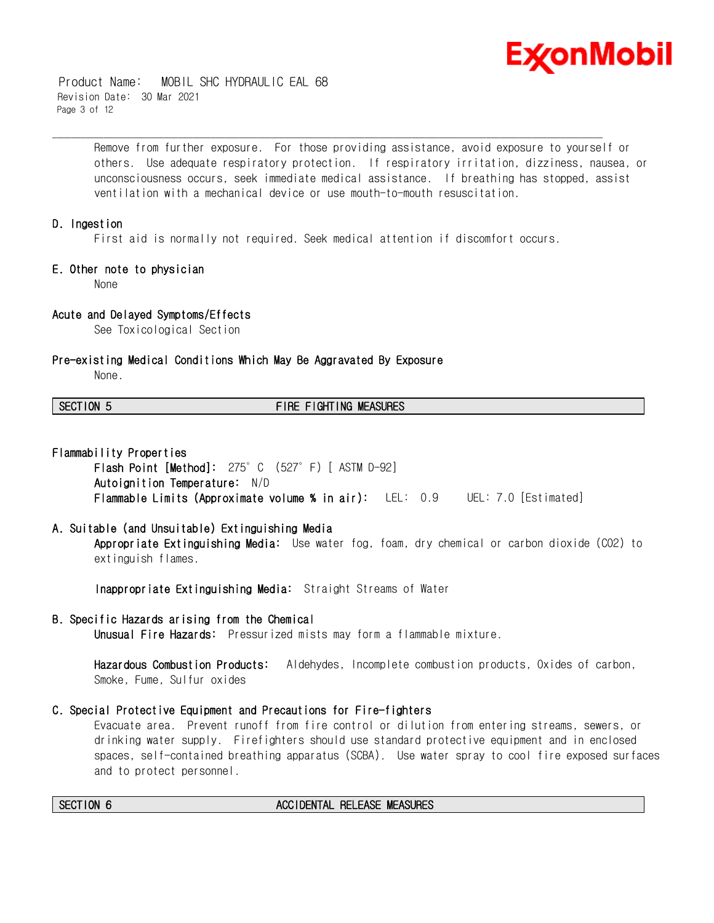

 Product Name: MOBIL SHC HYDRAULIC EAL 68 Revision Date: 30 Mar 2021 Page 3 of 12

> Remove from further exposure. For those providing assistance, avoid exposure to yourself or others. Use adequate respiratory protection. If respiratory irritation, dizziness, nausea, or unconsciousness occurs, seek immediate medical assistance. If breathing has stopped, assist ventilation with a mechanical device or use mouth-to-mouth resuscitation.

### **D. Ingestion**

First aid is normally not required. Seek medical attention if discomfort occurs.

\_\_\_\_\_\_\_\_\_\_\_\_\_\_\_\_\_\_\_\_\_\_\_\_\_\_\_\_\_\_\_\_\_\_\_\_\_\_\_\_\_\_\_\_\_\_\_\_\_\_\_\_\_\_\_\_\_\_\_\_\_\_\_\_\_\_\_\_\_\_\_\_\_\_\_\_\_\_\_\_\_\_\_\_\_\_\_\_\_\_\_\_\_\_\_\_\_\_\_\_\_\_\_\_\_\_\_\_\_\_\_\_\_\_\_\_\_\_

### **E. Other note to physician**

None

# **Acute and Delayed Symptoms/Effects**

See Toxicological Section

### **Pre-existing Medical Conditions Which May Be Aggravated By Exposure**

None.

# **SECTION 5 FIRE FIGHTING MEASURES**

### **Flammability Properties**

**Flash Point [Method]:** 275°C (527°F) [ ASTM D-92] **Autoignition Temperature:** N/D **Flammable Limits (Approximate volume % in air):** LEL: 0.9 UEL: 7.0 [Estimated]

### **A. Suitable (and Unsuitable) Extinguishing Media**

**Appropriate Extinguishing Media:** Use water fog, foam, dry chemical or carbon dioxide (CO2) to extinguish flames.

**Inappropriate Extinguishing Media:** Straight Streams of Water

# **B. Specific Hazards arising from the Chemical**

**Unusual Fire Hazards:** Pressurized mists may form a flammable mixture.

**Hazardous Combustion Products:** Aldehydes, Incomplete combustion products, Oxides of carbon, Smoke, Fume, Sulfur oxides

# **C. Special Protective Equipment and Precautions for Fire-fighters**

Evacuate area. Prevent runoff from fire control or dilution from entering streams, sewers, or drinking water supply. Firefighters should use standard protective equipment and in enclosed spaces, self-contained breathing apparatus (SCBA). Use water spray to cool fire exposed surfaces and to protect personnel.

### **SECTION 6 ACCIDENTAL RELEASE MEASURES**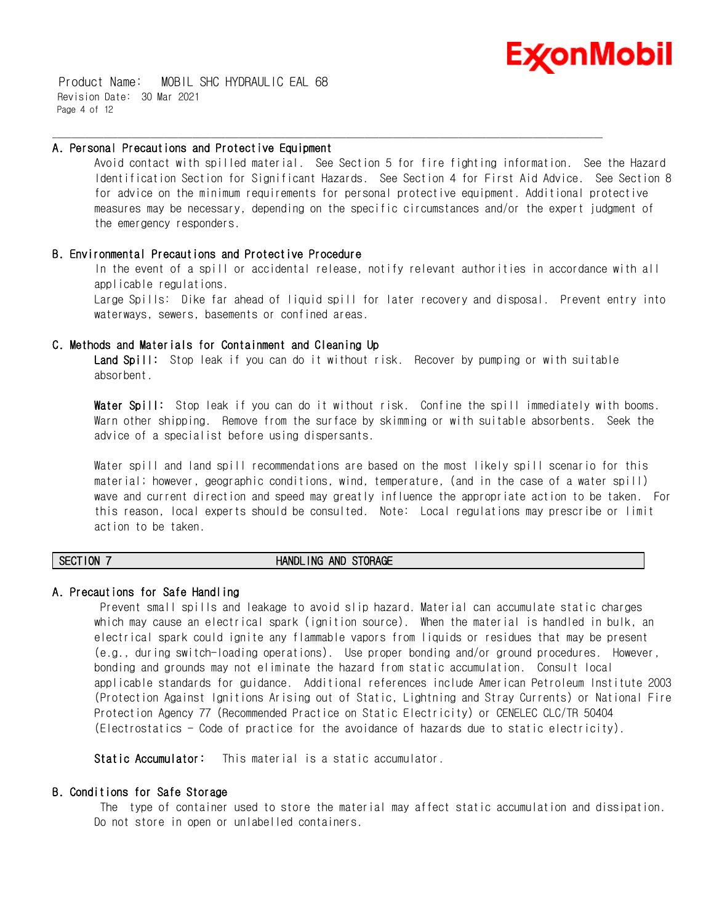

 Product Name: MOBIL SHC HYDRAULIC EAL 68 Revision Date: 30 Mar 2021 Page 4 of 12

### **A. Personal Precautions and Protective Equipment**

Avoid contact with spilled material. See Section 5 for fire fighting information. See the Hazard Identification Section for Significant Hazards. See Section 4 for First Aid Advice. See Section 8 for advice on the minimum requirements for personal protective equipment. Additional protective measures may be necessary, depending on the specific circumstances and/or the expert judgment of the emergency responders.

\_\_\_\_\_\_\_\_\_\_\_\_\_\_\_\_\_\_\_\_\_\_\_\_\_\_\_\_\_\_\_\_\_\_\_\_\_\_\_\_\_\_\_\_\_\_\_\_\_\_\_\_\_\_\_\_\_\_\_\_\_\_\_\_\_\_\_\_\_\_\_\_\_\_\_\_\_\_\_\_\_\_\_\_\_\_\_\_\_\_\_\_\_\_\_\_\_\_\_\_\_\_\_\_\_\_\_\_\_\_\_\_\_\_\_\_\_\_

# **B. Environmental Precautions and Protective Procedure**

In the event of a spill or accidental release, notify relevant authorities in accordance with all applicable regulations.

Large Spills: Dike far ahead of liquid spill for later recovery and disposal. Prevent entry into waterways, sewers, basements or confined areas.

### **C. Methods and Materials for Containment and Cleaning Up**

**Land Spill:** Stop leak if you can do it without risk. Recover by pumping or with suitable absorbent.

**Water Spill:** Stop leak if you can do it without risk. Confine the spill immediately with booms. Warn other shipping. Remove from the surface by skimming or with suitable absorbents. Seek the advice of a specialist before using dispersants.

Water spill and land spill recommendations are based on the most likely spill scenario for this material; however, geographic conditions, wind, temperature, (and in the case of a water spill) wave and current direction and speed may greatly influence the appropriate action to be taken. For this reason, local experts should be consulted. Note: Local regulations may prescribe or limit action to be taken.

### **SECTION 7 HANDLING AND STORAGE**

# **A. Precautions for Safe Handling**

 Prevent small spills and leakage to avoid slip hazard. Material can accumulate static charges which may cause an electrical spark (ignition source). When the material is handled in bulk, an electrical spark could ignite any flammable vapors from liquids or residues that may be present (e.g., during switch-loading operations). Use proper bonding and/or ground procedures. However, bonding and grounds may not eliminate the hazard from static accumulation. Consult local applicable standards for guidance. Additional references include American Petroleum Institute 2003 (Protection Against Ignitions Arising out of Static, Lightning and Stray Currents) or National Fire Protection Agency 77 (Recommended Practice on Static Electricity) or CENELEC CLC/TR 50404 (Electrostatics - Code of practice for the avoidance of hazards due to static electricity).

**Static Accumulator:** This material is a static accumulator.

# **B. Conditions for Safe Storage**

 The type of container used to store the material may affect static accumulation and dissipation. Do not store in open or unlabelled containers.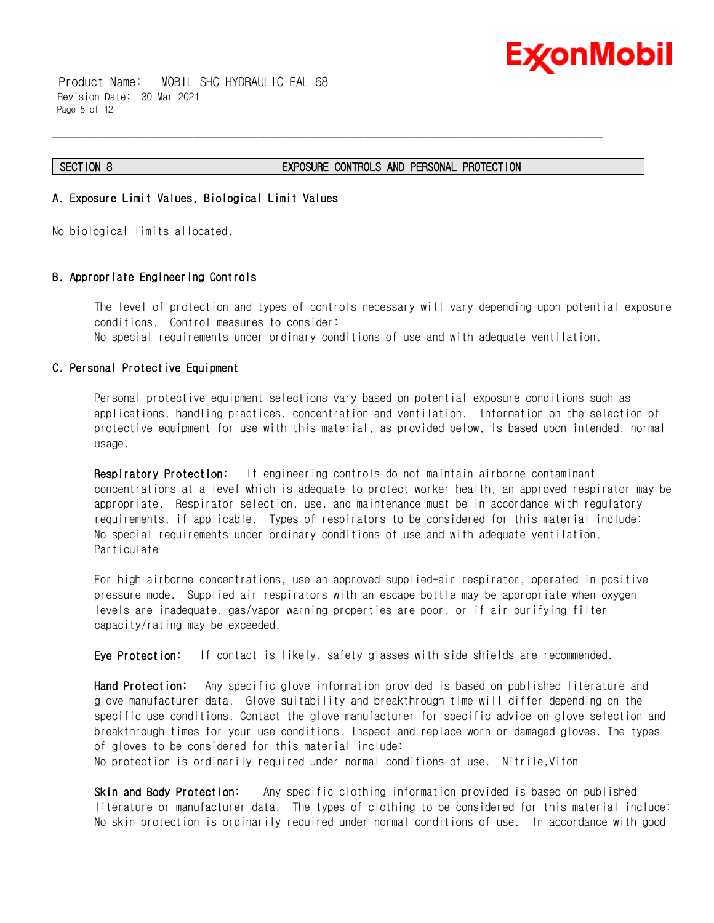

 Product Name: MOBIL SHC HYDRAULIC EAL 68 Revision Date: 30 Mar 2021 Page 5 of 12

### **SECTION 8 EXPOSURE CONTROLS AND PERSONAL PROTECTION**

\_\_\_\_\_\_\_\_\_\_\_\_\_\_\_\_\_\_\_\_\_\_\_\_\_\_\_\_\_\_\_\_\_\_\_\_\_\_\_\_\_\_\_\_\_\_\_\_\_\_\_\_\_\_\_\_\_\_\_\_\_\_\_\_\_\_\_\_\_\_\_\_\_\_\_\_\_\_\_\_\_\_\_\_\_\_\_\_\_\_\_\_\_\_\_\_\_\_\_\_\_\_\_\_\_\_\_\_\_\_\_\_\_\_\_\_\_\_

# **A. Exposure Limit Values, Biological Limit Values**

No biological limits allocated.

# **B. Appropriate Engineering Controls**

The level of protection and types of controls necessary will vary depending upon potential exposure conditions. Control measures to consider: No special requirements under ordinary conditions of use and with adequate ventilation.

# **C. Personal Protective Equipment**

Personal protective equipment selections vary based on potential exposure conditions such as applications, handling practices, concentration and ventilation. Information on the selection of protective equipment for use with this material, as provided below, is based upon intended, normal usage.

**Respiratory Protection:** If engineering controls do not maintain airborne contaminant concentrations at a level which is adequate to protect worker health, an approved respirator may be appropriate. Respirator selection, use, and maintenance must be in accordance with regulatory requirements, if applicable. Types of respirators to be considered for this material include: No special requirements under ordinary conditions of use and with adequate ventilation. Particulate

For high airborne concentrations, use an approved supplied-air respirator, operated in positive pressure mode. Supplied air respirators with an escape bottle may be appropriate when oxygen levels are inadequate, gas/vapor warning properties are poor, or if air purifying filter capacity/rating may be exceeded.

**Eye Protection:** If contact is likely, safety glasses with side shields are recommended.

**Hand Protection:** Any specific glove information provided is based on published literature and glove manufacturer data. Glove suitability and breakthrough time will differ depending on the specific use conditions. Contact the glove manufacturer for specific advice on glove selection and breakthrough times for your use conditions. Inspect and replace worn or damaged gloves. The types of gloves to be considered for this material include:

No protection is ordinarily required under normal conditions of use. Nitrile,Viton

**Skin and Body Protection:** Any specific clothing information provided is based on published literature or manufacturer data. The types of clothing to be considered for this material include: No skin protection is ordinarily required under normal conditions of use. In accordance with good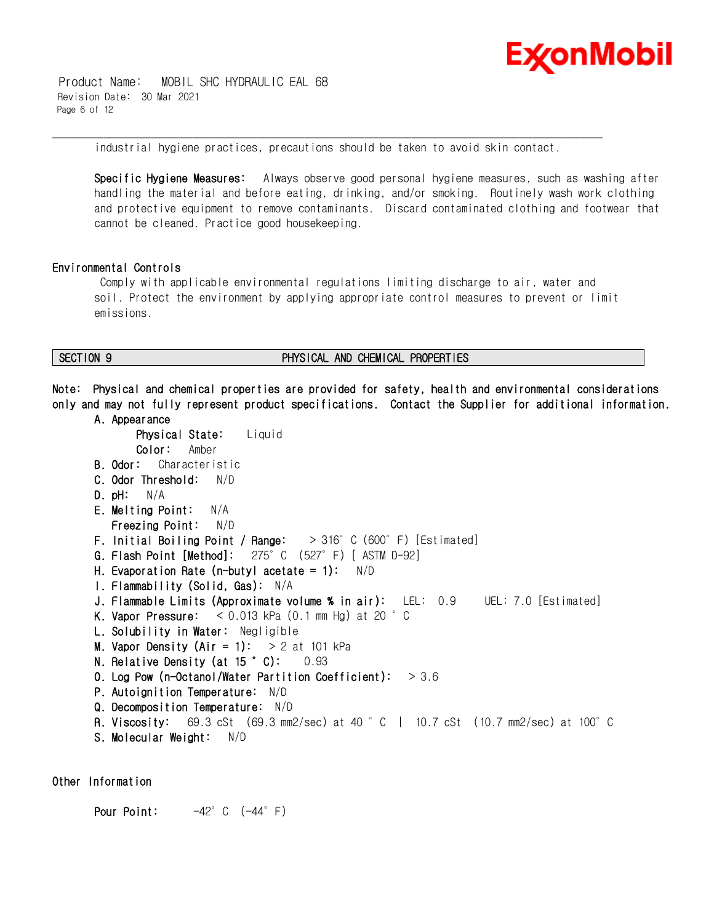

 Product Name: MOBIL SHC HYDRAULIC EAL 68 Revision Date: 30 Mar 2021 Page 6 of 12

\_\_\_\_\_\_\_\_\_\_\_\_\_\_\_\_\_\_\_\_\_\_\_\_\_\_\_\_\_\_\_\_\_\_\_\_\_\_\_\_\_\_\_\_\_\_\_\_\_\_\_\_\_\_\_\_\_\_\_\_\_\_\_\_\_\_\_\_\_\_\_\_\_\_\_\_\_\_\_\_\_\_\_\_\_\_\_\_\_\_\_\_\_\_\_\_\_\_\_\_\_\_\_\_\_\_\_\_\_\_\_\_\_\_\_\_\_\_ industrial hygiene practices, precautions should be taken to avoid skin contact.

**Specific Hygiene Measures:** Always observe good personal hygiene measures, such as washing after handling the material and before eating, drinking, and/or smoking. Routinely wash work clothing and protective equipment to remove contaminants. Discard contaminated clothing and footwear that cannot be cleaned. Practice good housekeeping.

# **Environmental Controls**

 Comply with applicable environmental regulations limiting discharge to air, water and soil. Protect the environment by applying appropriate control measures to prevent or limit emissions.

# **SECTION 9 PHYSICAL AND CHEMICAL PROPERTIES**

**Note: Physical and chemical properties are provided for safety, health and environmental considerations only and may not fully represent product specifications. Contact the Supplier for additional information.**

**A. Appearance Physical State:** Liquid **Color:** Amber **B. Odor:** Characteristic **C. Odor Threshold:** N/D **D. pH:** N/A **E. Melting Point:** N/A  **Freezing Point:** N/D **F. Initial Boiling Point / Range:** > 316°C (600°F) [Estimated] **G. Flash Point [Method]:** 275°C (527°F) [ ASTM D-92] **H. Evaporation Rate (n-butyl acetate = 1):** N/D **I. Flammability (Solid, Gas):** N/A **J. Flammable Limits (Approximate volume % in air):** LEL: 0.9 UEL: 7.0 [Estimated] **K. Vapor Pressure:** < 0.013 kPa (0.1 mm Hg) at 20 °C **L. Solubility in Water:** Negligible **M. Vapor Density (Air = 1):** > 2 at 101 kPa **N. Relative Density (at 15 °C):** 0.93 **O. Log Pow (n-Octanol/Water Partition Coefficient):** > 3.6 **P. Autoignition Temperature:** N/D **Q. Decomposition Temperature:** N/D **R. Viscosity:** 69.3 cSt (69.3 mm2/sec) at 40 °C | 10.7 cSt (10.7 mm2/sec) at 100°C **S. Molecular Weight:** N/D

**Other Information**

**Pour Point:** -42°C (-44°F)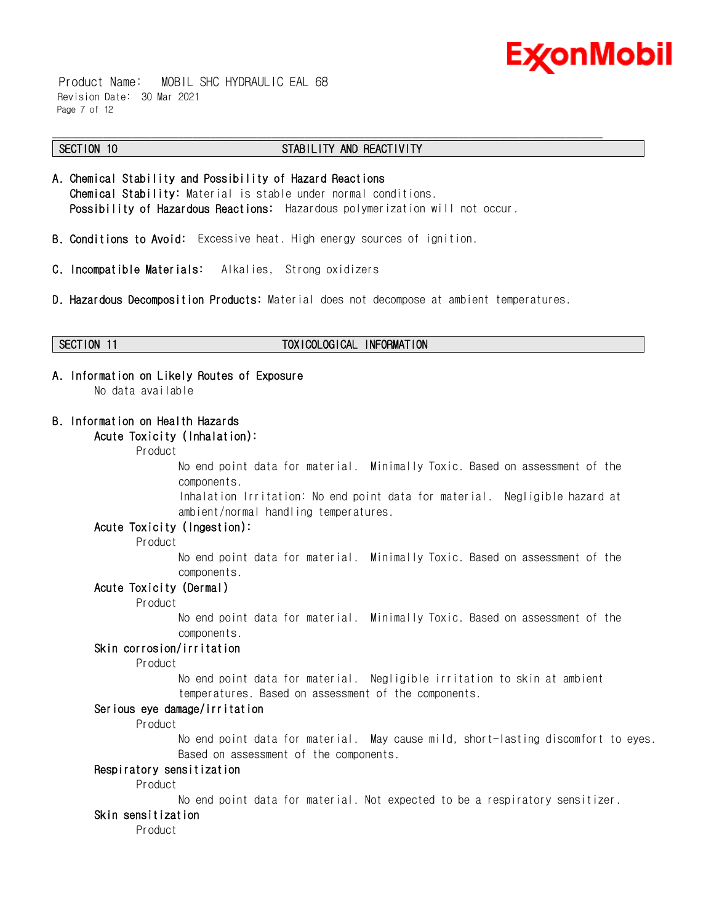

 Product Name: MOBIL SHC HYDRAULIC EAL 68 Revision Date: 30 Mar 2021 Page 7 of 12

### \_\_\_\_\_\_\_\_\_\_\_\_\_\_\_\_\_\_\_\_\_\_\_\_\_\_\_\_\_\_\_\_\_\_\_\_\_\_\_\_\_\_\_\_\_\_\_\_\_\_\_\_\_\_\_\_\_\_\_\_\_\_\_\_\_\_\_\_\_\_\_\_\_\_\_\_\_\_\_\_\_\_\_\_\_\_\_\_\_\_\_\_\_\_\_\_\_\_\_\_\_\_\_\_\_\_\_\_\_\_\_\_\_\_\_\_\_\_ **SECTION 10 STABILITY AND REACTIVITY**

- **A. Chemical Stability and Possibility of Hazard Reactions Chemical Stability:** Material is stable under normal conditions.  **Possibility of Hazardous Reactions:** Hazardous polymerization will not occur.
- **B. Conditions to Avoid:** Excessive heat. High energy sources of ignition.
- **C. Incompatible Materials:** Alkalies, Strong oxidizers
- **D. Hazardous Decomposition Products:** Material does not decompose at ambient temperatures.

### **SECTION 11 TOXICOLOGICAL INFORMATION**

**A. Information on Likely Routes of Exposure** No data available

# **B. Information on Health Hazards**

# **Acute Toxicity (Inhalation):**

### Product

No end point data for material. Minimally Toxic. Based on assessment of the components.

Inhalation Irritation: No end point data for material. Negligible hazard at ambient/normal handling temperatures.

# **Acute Toxicity (Ingestion):**

Product

No end point data for material. Minimally Toxic. Based on assessment of the components.

# **Acute Toxicity (Dermal)**

Product

No end point data for material. Minimally Toxic. Based on assessment of the components.

### **Skin corrosion/irritation**

Product

No end point data for material. Negligible irritation to skin at ambient temperatures. Based on assessment of the components.

# **Serious eye damage/irritation**

Product

No end point data for material. May cause mild, short-lasting discomfort to eyes. Based on assessment of the components.

# **Respiratory sensitization**

Product

No end point data for material. Not expected to be a respiratory sensitizer.

# **Skin sensitization**

Product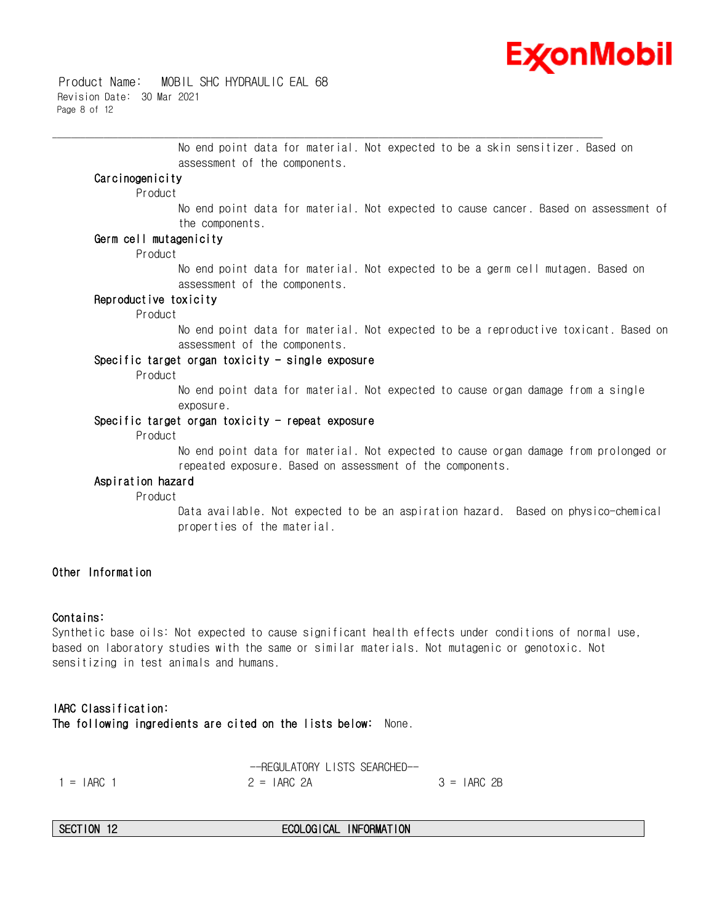

 Product Name: MOBIL SHC HYDRAULIC EAL 68 Revision Date: 30 Mar 2021 Page 8 of 12

> No end point data for material. Not expected to be a skin sensitizer. Based on assessment of the components.

\_\_\_\_\_\_\_\_\_\_\_\_\_\_\_\_\_\_\_\_\_\_\_\_\_\_\_\_\_\_\_\_\_\_\_\_\_\_\_\_\_\_\_\_\_\_\_\_\_\_\_\_\_\_\_\_\_\_\_\_\_\_\_\_\_\_\_\_\_\_\_\_\_\_\_\_\_\_\_\_\_\_\_\_\_\_\_\_\_\_\_\_\_\_\_\_\_\_\_\_\_\_\_\_\_\_\_\_\_\_\_\_\_\_\_\_\_\_

# **Carcinogenicity**

Product

No end point data for material. Not expected to cause cancer. Based on assessment of the components.

### **Germ cell mutagenicity**

Product

No end point data for material. Not expected to be a germ cell mutagen. Based on assessment of the components.

### **Reproductive toxicity**

Product

No end point data for material. Not expected to be a reproductive toxicant. Based on assessment of the components.

# **Specific target organ toxicity - single exposure**

Product

No end point data for material. Not expected to cause organ damage from a single exposure.

### **Specific target organ toxicity - repeat exposure**

Product

No end point data for material. Not expected to cause organ damage from prolonged or repeated exposure. Based on assessment of the components.

### **Aspiration hazard**

Product

Data available. Not expected to be an aspiration hazard. Based on physico-chemical properties of the material.

# **Other Information**

### **Contains:**

Synthetic base oils: Not expected to cause significant health effects under conditions of normal use, based on laboratory studies with the same or similar materials. Not mutagenic or genotoxic. Not sensitizing in test animals and humans.

**IARC Classification: The following ingredients are cited on the lists below:** None.

|              | --REGULATORY LISTS SEARCHED-- |               |
|--------------|-------------------------------|---------------|
| $1 = IARG$ 1 | $2 = IARC$ 2A                 | $3 = IARC 2B$ |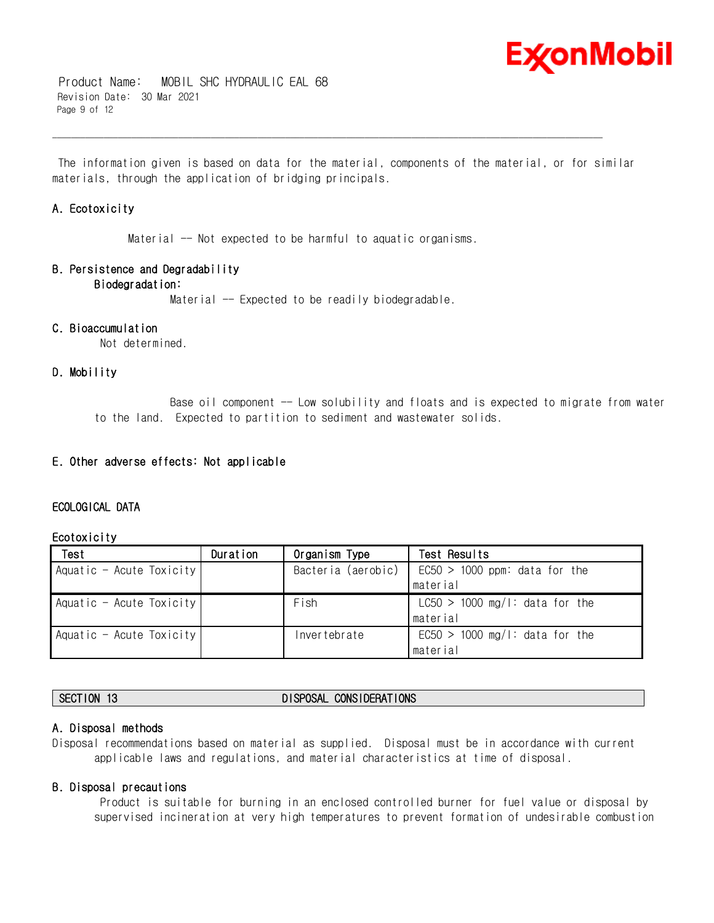

 Product Name: MOBIL SHC HYDRAULIC EAL 68 Revision Date: 30 Mar 2021 Page 9 of 12

 The information given is based on data for the material, components of the material, or for similar materials, through the application of bridging principals.

\_\_\_\_\_\_\_\_\_\_\_\_\_\_\_\_\_\_\_\_\_\_\_\_\_\_\_\_\_\_\_\_\_\_\_\_\_\_\_\_\_\_\_\_\_\_\_\_\_\_\_\_\_\_\_\_\_\_\_\_\_\_\_\_\_\_\_\_\_\_\_\_\_\_\_\_\_\_\_\_\_\_\_\_\_\_\_\_\_\_\_\_\_\_\_\_\_\_\_\_\_\_\_\_\_\_\_\_\_\_\_\_\_\_\_\_\_\_

# **A. Ecotoxicity**

Material -- Not expected to be harmful to aquatic organisms.

# **B. Persistence and Degradability**

# **Biodegradation:**

Material -- Expected to be readily biodegradable.

# **C. Bioaccumulation**

Not determined.

# **D. Mobility**

Base oil component -- Low solubility and floats and is expected to migrate from water to the land. Expected to partition to sediment and wastewater solids.

# **E. Other adverse effects: Not applicable**

# **ECOLOGICAL DATA**

# **Ecotoxicity**

| Test                     | Duration | Organism Type      | Test Results                     |
|--------------------------|----------|--------------------|----------------------------------|
| Aquatic - Acute Toxicity |          | Bacteria (aerobic) | $EC50 > 1000$ ppm: data for the  |
|                          |          |                    | material                         |
| Aquatic - Acute Toxicity |          | Fish               | $LC50 > 1000$ mg/l: data for the |
|                          |          |                    | material                         |
| Aquatic - Acute Toxicity |          | Invertebrate       | $EC50 > 1000$ mg/l: data for the |
|                          |          |                    | material                         |

# **SECTION 13 DISPOSAL CONSIDERATIONS**

# **A. Disposal methods**

Disposal recommendations based on material as supplied. Disposal must be in accordance with current applicable laws and regulations, and material characteristics at time of disposal.

# **B. Disposal precautions**

 Product is suitable for burning in an enclosed controlled burner for fuel value or disposal by supervised incineration at very high temperatures to prevent formation of undesirable combustion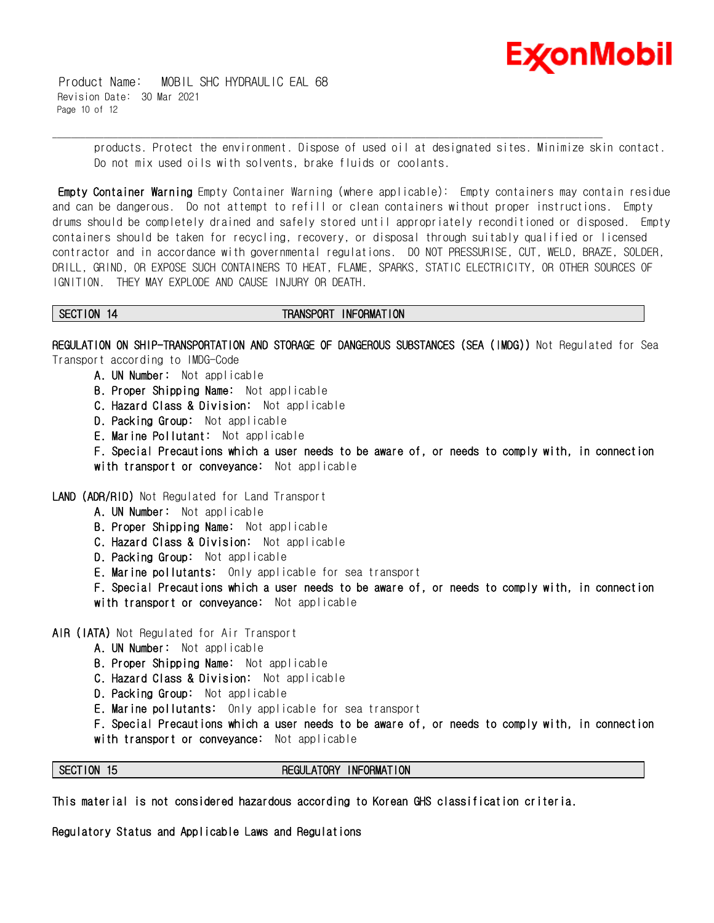

 Product Name: MOBIL SHC HYDRAULIC EAL 68 Revision Date: 30 Mar 2021 Page 10 of 12

> products. Protect the environment. Dispose of used oil at designated sites. Minimize skin contact. Do not mix used oils with solvents, brake fluids or coolants.

**Empty Container Warning** Empty Container Warning (where applicable): Empty containers may contain residue and can be dangerous. Do not attempt to refill or clean containers without proper instructions. Empty drums should be completely drained and safely stored until appropriately reconditioned or disposed. Empty containers should be taken for recycling, recovery, or disposal through suitably qualified or licensed contractor and in accordance with governmental regulations. DO NOT PRESSURISE, CUT, WELD, BRAZE, SOLDER, DRILL, GRIND, OR EXPOSE SUCH CONTAINERS TO HEAT, FLAME, SPARKS, STATIC ELECTRICITY, OR OTHER SOURCES OF IGNITION. THEY MAY EXPLODE AND CAUSE INJURY OR DEATH.

### SECTION 14 **TRANSPORT INFORMATION**

\_\_\_\_\_\_\_\_\_\_\_\_\_\_\_\_\_\_\_\_\_\_\_\_\_\_\_\_\_\_\_\_\_\_\_\_\_\_\_\_\_\_\_\_\_\_\_\_\_\_\_\_\_\_\_\_\_\_\_\_\_\_\_\_\_\_\_\_\_\_\_\_\_\_\_\_\_\_\_\_\_\_\_\_\_\_\_\_\_\_\_\_\_\_\_\_\_\_\_\_\_\_\_\_\_\_\_\_\_\_\_\_\_\_\_\_\_\_

**REGULATION ON SHIP-TRANSPORTATION AND STORAGE OF DANGEROUS SUBSTANCES (SEA (IMDG))** Not Regulated for Sea Transport according to IMDG-Code

- **A. UN Number:** Not applicable
- **B. Proper Shipping Name:** Not applicable
- **C. Hazard Class & Division:** Not applicable
- **D. Packing Group:** Not applicable
- **E. Marine Pollutant:** Not applicable

**F. Special Precautions which a user needs to be aware of, or needs to comply with, in connection with transport or conveyance:** Not applicable

**LAND (ADR/RID)** Not Regulated for Land Transport

- **A. UN Number:** Not applicable
- **B. Proper Shipping Name:** Not applicable
- **C. Hazard Class & Division:** Not applicable
- **D. Packing Group:** Not applicable
- **E. Marine pollutants:** Only applicable for sea transport

**F. Special Precautions which a user needs to be aware of, or needs to comply with, in connection with transport or conveyance:** Not applicable

**AIR (IATA)** Not Regulated for Air Transport

- **A. UN Number:** Not applicable
- **B. Proper Shipping Name:** Not applicable
- **C. Hazard Class & Division:** Not applicable
- **D. Packing Group:** Not applicable
- **E. Marine pollutants:** Only applicable for sea transport
- **F. Special Precautions which a user needs to be aware of, or needs to comply with, in connection with transport or conveyance:** Not applicable

### **SECTION 15 REGULATORY INFORMATION**

**This material is not considered hazardous according to Korean GHS classification criteria.**

**Regulatory Status and Applicable Laws and Regulations**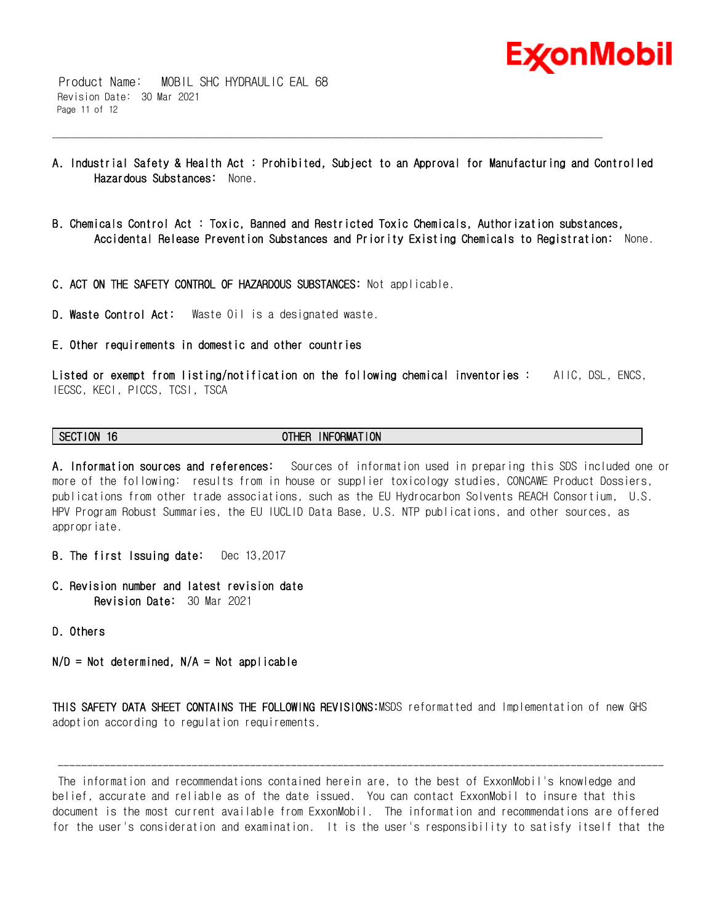

 Product Name: MOBIL SHC HYDRAULIC EAL 68 Revision Date: 30 Mar 2021 Page 11 of 12

**A. Industrial Safety & Health Act : Prohibited, Subject to an Approval for Manufacturing and Controlled Hazardous Substances:** None.

\_\_\_\_\_\_\_\_\_\_\_\_\_\_\_\_\_\_\_\_\_\_\_\_\_\_\_\_\_\_\_\_\_\_\_\_\_\_\_\_\_\_\_\_\_\_\_\_\_\_\_\_\_\_\_\_\_\_\_\_\_\_\_\_\_\_\_\_\_\_\_\_\_\_\_\_\_\_\_\_\_\_\_\_\_\_\_\_\_\_\_\_\_\_\_\_\_\_\_\_\_\_\_\_\_\_\_\_\_\_\_\_\_\_\_\_\_\_

- **B. Chemicals Control Act : Toxic, Banned and Restricted Toxic Chemicals, Authorization substances, Accidental Release Prevention Substances and Priority Existing Chemicals to Registration:** None.
- **C. ACT ON THE SAFETY CONTROL OF HAZARDOUS SUBSTANCES:** Not applicable.
- **D. Waste Control Act:** Waste Oil is a designated waste.
- **E. Other requirements in domestic and other countries**

**Listed or exempt from listing/notification on the following chemical inventories :** AIIC, DSL, ENCS, IECSC, KECI, PICCS, TCSI, TSCA

### **SECTION 16 OTHER INFORMATION**

**A. Information sources and references:** Sources of information used in preparing this SDS included one or more of the following: results from in house or supplier toxicology studies, CONCAWE Product Dossiers, publications from other trade associations, such as the EU Hydrocarbon Solvents REACH Consortium, U.S. HPV Program Robust Summaries, the EU IUCLID Data Base, U.S. NTP publications, and other sources, as appropriate.

- **B. The first Issuing date:** Dec 13,2017
- **C. Revision number and latest revision date Revision Date:** 30 Mar 2021
- **D. Others**

**N/D = Not determined, N/A = Not applicable**

**THIS SAFETY DATA SHEET CONTAINS THE FOLLOWING REVISIONS:**MSDS reformatted and Implementation of new GHS adoption according to regulation requirements.

 The information and recommendations contained herein are, to the best of ExxonMobil's knowledge and belief, accurate and reliable as of the date issued. You can contact ExxonMobil to insure that this document is the most current available from ExxonMobil. The information and recommendations are offered for the user's consideration and examination. It is the user's responsibility to satisfy itself that the

--------------------------------------------------------------------------------------------------------